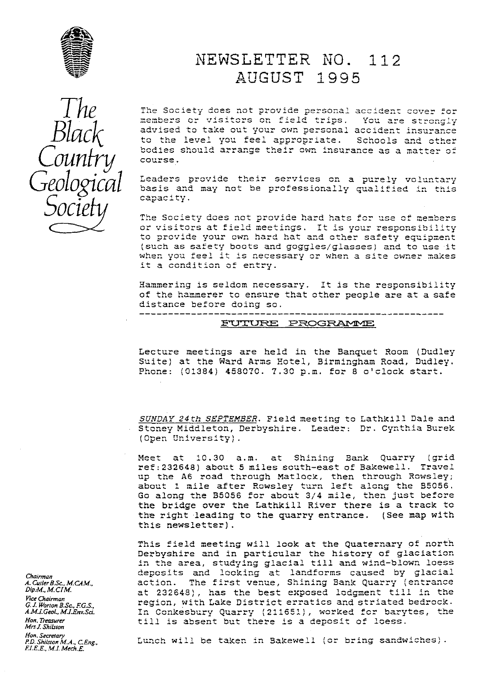

# NEWSLETTER NO. 112 AUGUST 1995

The Society does not provide personal accident cover for members or visitors on field trips. You are strongly advised to take out your own personal accident insurance to the level you feel appropriate. Schools and other bodies should arrange their own insurance as a matter of course.

Leaders provide their services on a purely voluntary basis and may not be professionally qualified in this capacity.

The Society does not provide hard hats for use of members or visitors at field meetings. It is your responsibility to provide your own hard hat and other safety equipment (such as safety boots and goggles/glasses) and to use it when you feel it is necessary or when a site owner makes it a condition of entry.

Hammering is seldom necessary. It is the responsibility of the hammerer to ensure that other people are at a safe distance before doing so.

----------------------

## FUTURE PROGRAMME

Lecture meetings are held in the Banquet Room (Dudley Suite) at the Ward Arms Hotel, Birmingham Road, Dudley. Phone: (01384) 458070. 7.30 p.m. for 8 o'clock start.

SUNDAY 24th SEPTEMBER. Field meeting to Lathkill Dale and Stoney Middleton, Derbyshire. Leader: Dr. Cynthia Burek (Open University).

Meet at 10.30 a.m. at Shining Bank Quarry (grid ref: 232648) about 5 miles south-east of Bakewell. Travel up the A6 road through Matlock, then through Rowsley;<br>about 1 mile after Rowsley turn left along the B5056. Go along the B5056 for about 3/4 mile, then just before the bridge over the Lathkill River there is a track to the right leading to the quarry entrance. (See map with this newsletter).

This field meeting will look at the Quaternary of north Derbyshire and in particular the history of glaciation<br>in the area, studying glacial till and wind-blown loess deposits and looking at landforms caused by glacial action. The first venue, Shining Bank Quarry (entrance at 232648), has the best exposed lodgment till in the region, with Lake District erratics and striated bedrock. In Conkesbury Quarry (211651), worked for barytes, the till is absent but there is a deposit of loess.

Lunch will be taken in Bakewell (or bring sandwiches).

Chairman A. Cutler B.Sc., M.CAM., Dip.M., M.CIM. Vice Chairman G. J. Worton B.Sc., F.G.S. A.M.J.Geol., M.J.Env.Sci. Hon. Treasurer Mrs J. Shilston

Hon, Secretary<br>P.D. Shilston M.A., C.Eng.,<br>F.I.E.E., M.I. Mech.E.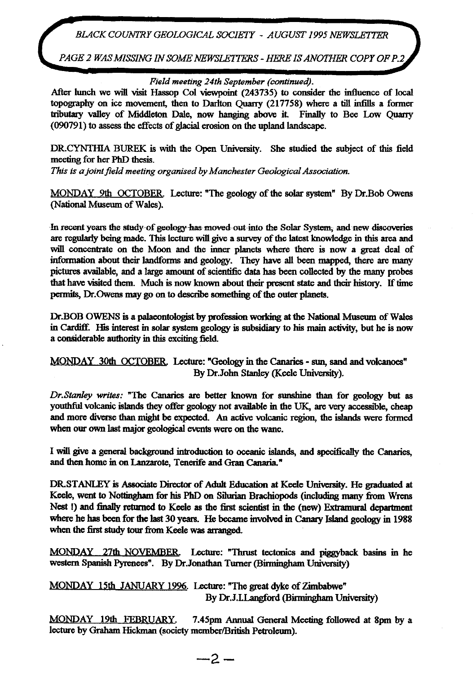*BLACK COUNTRY GEOLOGICAL SOCIETY - AUGUST 1995 NEWSLETTER*

*PAGE 2 WASMISSING IN SOME NEWSLETTERS - HERE IS ANOTHER COPY OF P.2*

## *Field meeting 24th September (continued).*

After lunch we will visit Hassop Col viewpoint (243735) *to* consider the influence of local topography on ice movement, then to Darlton Quarry (217758) where a till infills a former tributary valley of Middleton Dale, now hanging above it. Finally to Bee Low Quarry (090791) to assess the effects of glacial erosion on the **upland landscape.**

DR.CYNTHIA BUREK is with the Open University. She studied the subject of this field meeting for her PhD thesis.

*This is a joint field meeting organised by Manchester Geological Association.*

MONDAY 9th OCTOBER. Lecture: "The geology of the solar system" By Dr.Bob Owens (National Museum of Wales).

In recent years the study of geology has moved out into the Solar System, and new discoveries are regularly being *made. This* lecture will give a survey of the latest knowledge in this area and will concentrate on *the* Moon and the inner planets *where there is* **now a great deal of information about their** *landforms and* **geology.** They have all been mapped, there are many pictures available, and a large amount of scientific data has been collected by the many probes *that have visited* them. Much is now known about their present state and their history. If time permits, Dr.Owens may go on to descr<sup>i</sup> be something *of the* outer planets.

Dr.BOB OWENS is a palaeontologist **by** profession working at the National Museum of Wales in Cardiff. His interest in solar system geology is subsidiary to his main activity, but he is now *a considerable authority in this* exciting field

MONDAY 30th OCTOBER Lecture: "Geology in *the* Canaries - sun, *sand and* volcanoes" *By Dr.John* Stanley (Keele University).

*Dr.Stanley writes:* "The Canaries are better known for sunshine than for geolog<sup>y</sup> but as youthful volcanic islands they offer geology not available in the UK, are very accessible, cheap and more diverse than might be expected. An active volcanic region, the islands were formed when our own last major geological events were on the wane.

I will give a general background introduction to oceanic islands, and specifically the Canaries, and then home in on Lanzarote, Tenerife and Gran Canaria."

DR-STANLEY is Associate Director of Adult Education at Keele University. He graduated at Keele, went to Nottingham for his PhD on Silurian Brachiopods (including many from Wrens Nest !) and finally returned to Keele as the first scientist in the (new) Extramural department where he has been for the last 30 years. He became **involved** in Canary Island geology in 1988 when the first study tour from Keele was arranged.

MONDAY 27th NOVEMBER. Lecture: "Thrust tectonics and piggyback basins in he western Spanish Pyrenees". By Dr Jonathan Turner (Birmingham University)

MONDAY 15th JANUARY1996. Lecture: "The great dyke of Zimbabwe" By Dr.J.LLangford (Birmingham University)

MONDAY 19th FEBRUARY. 7.45pm Annual General Meeting followed at 8pm by a lecture by Graham Hickman (society member/British Petroleum).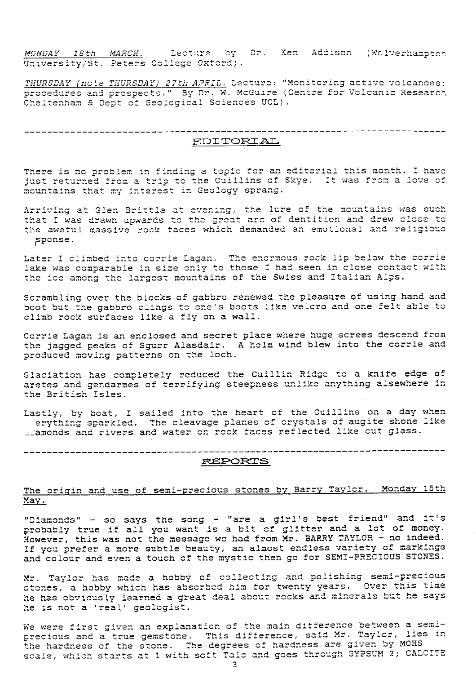MONDAY 18th MARCH. Lecture by Dr. Ken Addison (Wolverhampton University/St. Peters College Oxford).

THURSDAY (note THURSDAY) 27th APRIL. Lecture: "Monitoring active volcanoes: procedures and prospects." By Dr. W. McGuire (Centre for Volcanic Research Cheltenham & Dept of Geological Sciences UCL).

EDITORIAL

There is no problem in finding a topic for an editorial this month. I have just returned from a trip to the Cuillins of Skye. It was from a love of mountains that my interest in Geology sprang.

Arriving at Glen Brittle at evening, the lure of the mountains was such<br>that I was drawn upwards to the great arc of dentition and drew close to the aweful massive rock faces which demanded an emotional and religious sponse.

Later I climbed into corrie Lagan. The enormous rock lip below the corrie lake was comparable in size only to those I had seen in close contact with the ice among the largest mountains of the Swiss and Italian Alps.

Scrambling over the blocks of gabbro renewed the pleasure of using hand and boot but the gabbro clings to one's boots like velcro and one felt able to climb rock surfaces like a fly on a wall.

Corrie Lagan is an enclosed and secret place where huge screes descend from the jagged peaks of Sgurr Alasdair. A helm wind blew into the corrie and produced moving patterns on the loch.

Glaciation has completely reduced the Cuillin Ridge to a knife edge of aretes and gendarmes of terrifying steepness unlike anything alsewhere in the British Isles.

Lastly, by boat, I sailed into the heart of the Cuillins on a day when erything sparkled. The cleavage planes of crystals of augite shone like Llamonds and rivers and water on rock faces reflected like cut glass.

### **REPORTS**

# The origin and use of semi-precious stones by Barry Taylor. Monday 15th <u>May.</u>

"Diamonds" - so says the song - "are a girl's best friend" and it's probably true if all you want is a bit of glitter and a lot of money. However, this was not the message we had from Mr. BARRY TAYLOR - no indeed. If you prefer a more subtle beauty, an almost endless variety of markings and colour and even a touch of the mystic then go for SEMI-PRECIOUS STONES.

Mr. Taylor has made a hobby of collecting and polishing semi-precious stones, a hobby which has absorbed him for twenty years. Over this time he has obviously learned a great deal about rocks and minerals but he says he is not a 'real' geologist.

We were first given an explanation of the main difference between a semiprecious and a true gemstone. This difference, said Mr. Taylor, lies in the hardness of the stone. The degrees of hardness are given by MOHS scale, which starts at 1 with soft Tale and goes through GYPSUM 2; CALCITE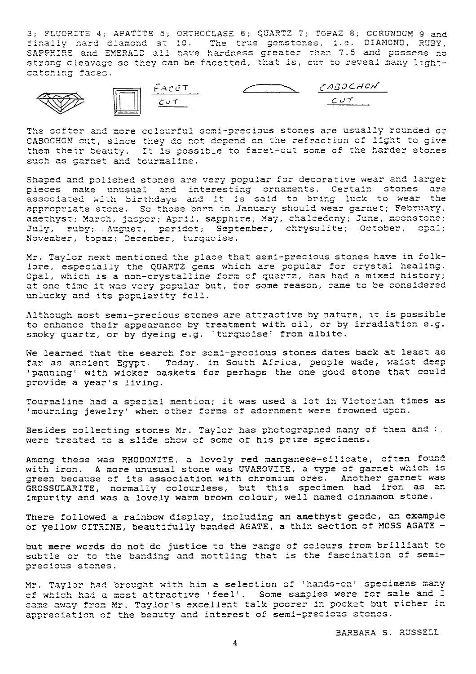3: FLUORITE 4: APATITE 5: ORTHOCLASE 6: QUARTZ 7: TOPAZ 8: CORUNDUM 9 and finally hard diamond at 10. The true gemstones, i.e. DIAMOND, RUBY, SAPPHIRE and EMERALD all have hardness greater than 7.5 and possess no strong cleavage so they can be facetted, that is, cut to reveal many lightcatching faces.



The softer and more colourful semi-precious stones are usually rounded or CABOCHON cut, since they do not depend on the refraction of light to give them their beauty. It is possible to facet-cut some of the harder stones such as garnet and tourmaline.

Shaped and polished stones are very popular for decorative wear and larger pieces make unusual and interesting ornaments. Certain stones are associated with birthdays and it is said to bring luck to wear the appropriate stone. So those born in January should wear garnet; February, amethyst; March, jasper; April, sapphire; May, chalcedony; June, moonstone; July, ruby; August, peridot; September, chrysolite; October, opal; November, topaz; December, turquoise.

Mr. Taylor next mentioned the place that semi-precious stones have in folklore, especially the QUARTZ gems which are popular for crystal healing. Opal, which is a non-crystalline form of quartz, has had a mixed history; at one time it was very popular but, for some reason, came to be considered unlucky and its popularity fell.

Although most semi-precious stones are attractive by nature, it is possible to enhance their appearance by treatment with oil, or by irradiation e.g. smoky quartz, or by dyeing e.g. 'turquoise' from albite.

We learned that the search for semi-precious stones dates back at least as far as ancient Egypt. Today, in South Africa, people wade, waist deep 'panning' with wicker baskets for perhaps the one good stone that could provide a year's living.

Tourmaline had a special mention; it was used a lot in Victorian times as 'mourning jewelry' when other forms of adornment were frowned upon.

Besides collecting stones Mr. Taylor has photographed many of them and v. were treated to a slide show of some of his prize specimens.

Among these was RHODONITE, a lovely red manganese-silicate, often found with iron. A more unusual stone was UVAROVITE, a type of garnet which is green because of its association with chromium ores. Another garnet was GROSSULARITE, normally colourless, but this specimen had iron as an impurity and was a lovely warm brown colour, well named cinnamon stone.

There followed a rainbow display, including an amethyst geode, an example of yellow CITRINE, beautifully banded AGATE, a thin section of MOSS AGATE -

but mere words do not do justice to the range of colours from brilliant to subtle or to the banding and mottling that is the fascination of semiprecious stones.

Mr. Taylor had brought with him a selection of 'hands-on' specimens many of which had a most attractive 'feel'. Some samples were for sale and I came away from Mr. Taylor's excellent talk poorer in pocket but richer in appreciation of the beauty and interest of semi-precious stones.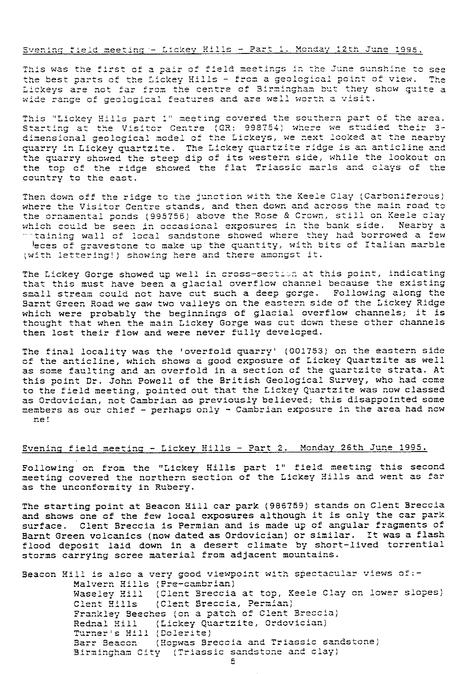### Evening field meeting - Lickey Hills - Part 1. Monday 12th June 1995.

This was the first of a pair of field meetings in the June sunshine to see the best parts of the Lickey Hills - from a geological point of view. The Lickeys are not far from the centre of Birmingham but they show quite a wide range of geological features and are well worth a visit.

This "Lickey Hills part 1" meeting covered the southern part of the area. Starting at the Visitor Centre (GR: 998754) where we studied their 3dimensional geological model of the Lickeys, we next looked at the nearby quarry in Lickey quartzite. The Lickey quartzite ridge is an anticline and the quarry showed the steep dip of its western side, while the lookout on the top of the ridge showed the flat Triassic marls and clays of the country to the east.

Then down off the ridge to the junction with the Keele Clay (Carboniferous) where the Visitor Centre stands, and then down and across the main road to the ornamental ponds (995756) above the Rose & Crown, still on Keele clay which could be seen in occasional exposures in the bank side. Nearby a "taining wall of local sandstone showed where they had borrowed a few leces of gravestone to make up the quantity, with bits of Italian marble (with lettering!) showing here and there amongst it.

The Lickey Gorge showed up well in cross-section at this point, indicating that this must have been a glacial overflow channel because the existing small stream could not have cut such a deep gorge. Following along the Barnt Green Road we saw two valleys on the eastern side of the Lickey Ridge which were probably the beginnings of glacial overflow channels; it is thought that when the main Lickey Gorge was cut down these other channels then lost their flow and were never fully developed.

The final locality was the 'overfold quarry' (001753) on the eastern side of the anticline, which shows a good exposure of Lickey Quartzite as well as some faulting and an overfold in a section of the quartzite strata. At this point Dr. John Powell of the British Geological Survey, who had come to the field meeting, pointed out that the Lickey Quartzite was now classed as Ordovician, not Cambrian as previously believed; this disappointed some members as our chief - perhaps only - Cambrian exposure in the area had now ne!

### Evening field meeting - Lickey Hills - Part 2. Monday 26th June 1995.

Following on from the "Lickey Hills part 1" field meeting this second meeting covered the northern section of the Lickey Hills and went as far as the unconformity in Rubery.

The starting point at Beacon Hill car park (986759) stands on Clent Breccia and shows one of the few local exposures although it is only the car park surface. Clent Breccia is Permian and is made up of angular fragments of Barnt Green volcanics (now dated as Ordovician) or similar. It was a flash flood deposit laid down in a desert climate by short-lived torrential storms carrying scree material from adjacent mountains.

Beacon Hill is also a very good viewpoint with spectacular views of:-Malvern Hills (Pre-cambrian) Waseley Hill (Clent Breccia at top, Keele Clay on lower slopes) Clent Hills (Clent Breccia, Permian) Frankley Beeches (on a patch of Clent Breccia) Rednal Hill (Lickey Quartzite, Ordovician) Turner's Hill (Dolerite) Barr Beacon (Hopwas Breccia and Triassic sandstone) Birmingham City (Triassic sandstone and clay)

5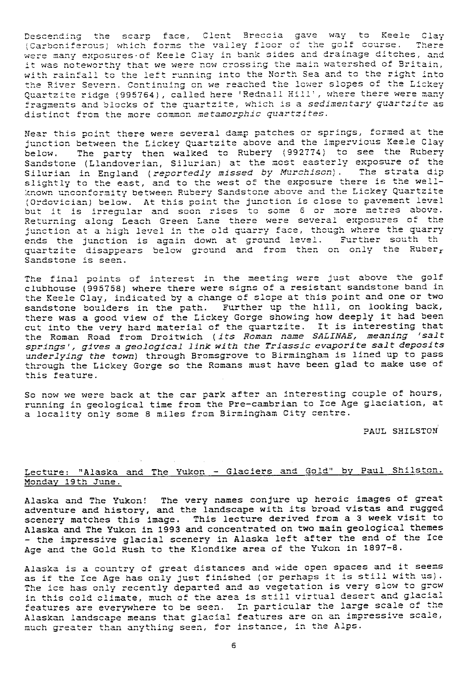Descending the scarp face, Clent Breccia gave way to Keele Clay Descending the scarp face, Clent Breccia gave way to Keele Clay<br>(Carboniferous) which forms the valley floor of the golf course. There Descending the scarp face, Clent Breccia gave way to Keele Clay<br>(Carboniferous) which forms the valley floor of the golf course. There<br>were many exposures of Keele Clay in bank sides and drainage ditches, and<br>it was notewo were many exposures of Keele Clay in bank sides and drainage ditches, and<br>it was noteworthy that we were now crossing the main watershed of Britain, it was noteworthy that we were now crossing the main watershed of Britain,<br>with rainfall to the left running into the North Sea and to the right into with faintail to the fair families into the lower slopes of the Lickey the River Severn. Continuing on we reached the lower slopes of the Lickey<br>Quartzite ridge (995764), called here 'Rednall Hill', where there were many Quartzite ridge (995764), called here 'Rednall Hill', where there were many<br>fragments and blocks of the quartzite, which is a *sedimentary quartzite* as fragments and blocks of the quartzite, which is a sedimentary quartzite as distinct from the more common metamorphic quartzites.

Near this point there were several damp patches or springs, formed at the junction between the Lickey Quartzite above and the impervious Keele Clay below. The party then walked to Rubery (992774) to see the Rubery Sandstone (Llandoverian, Silurian) at the most easterly exposure of the Silurian in England ( reportedly missed by Murchison). The strata dip Silurian in England (*reportedly missed by Murchison*). The strata dig<br>slightly to the east, and to the west of the exposure there is the wellslightly to the east, and to the west of the exposure there is the weir-<br>known unconformity between Rubery Sandstone above and the Lickey Quartzite (Ordovician) below. At this point the junction is close to pavement level (Ordovician) below. At this point the junction is close to pavement leve.<br>but it is irregular and soon rises to some 6 or more metres above.<br>but it is irregular and soon rises to some 6 or more metres above.<br>Returning along Leach Green Lane there were several exposures of the Returning along Leach Green Lane there were several exposures of the<br>junction at a high level in the old quarry face, though where the quarry junction at a high level in the old quarry face, though where the quarry ends the junction is again down at ground level. Further south th quartzite disappears below ground and from then on only the Ruber<sub>r</sub> Sandstone is seen.

The final points of interest in the meeting were just above the golf clubhouse (995758) where there were signs of a resistant sandstone band in the Keele Clay, indicated by a change of slope at this point and one or two sandstone boulders in the path. Further up the hill, on looking back, there was a good view of the Lickey Gorge showing how deeply it had been<br>cut into the very hard material of the quartzite. It is interesting that cut into the very hard material of the quartzite. It is interesting that<br>the Roman Road from Droitwich (*its Roman name SALINAE, meaning 'salt springs', gives* a geol*ogical link with the Tri* assic *evaporite salt* deposits *underlying the* town) through Bromsgrove to Birmingham is lined up to pass through the Lickey Gorge so the Romans must have been glad to make use of this feature.

Sc now we were back at the car park after an interesting couple of hours, running in geological time from the Pre-cambrian to Ice Age glaciation, at running in geologicul time from the ric cumbrium to booking.

PAUL SHILSTON

# Lecture: "Alaska and The Yukon - Glaciers and Gold" by Paul Shilston. Monday 19th June.

Alaska and The Yukon! The very names conjure up heroic images of great adventure and history, and the landscape with its broad vistas and rugged scenery matches this image. This lecture derived from a 3 week visit to Alaska and The Yukon in 1993 and concentrated on two main geological themes - the impressive glacial scenery in Alaska left after the end of the Ice Age and the Gold Rush to the Klondike area of the Yukon in 1897-8.

Alaska is a country of great distances and wide open spaces and it seems .<br>Alaska is a country of great distances and wide open spaces and it seem<br>as if the Ice Age has only just finished *(or perhaps it is still with us)* The ice has only recently departed and as vegetation is very slow to grow The ice has only recently departed and as vegetation is very siow to grow<br>in this cold climate, much of the area is still virtual desert and glacial in this cold climate, much of the area is still virtual desert and glacial<br>features are everywhere to be seen. In particular the large scale of the reatures are everywhere to be seem. In partroardrens are gaves to be also<br>Alaskan landscape means that glacial features are on an impressive scale,<br>much greater than anything seen, for instance, in the Alps. much greater than anything seen, for instance, in the Alps.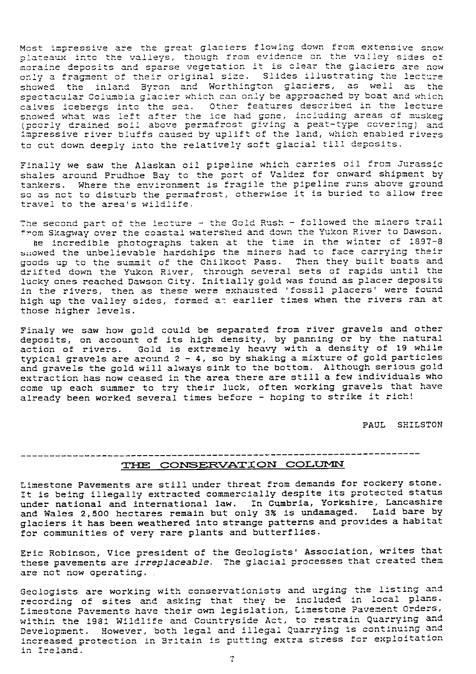Most impressive are the great glaciers flowing down from extensive snow plateaux into the valleys, though from evidence on the valley sides of plateaux into the valleys, though from evidence on the valley sides of<br>moraine deposits and sparse vegetation it is clear the glaciers are now moraine deposits and sparse vegetation it is treat the gratiers are now<br>only a fragment of their original size. Slides illustrating the lecture Most impressive are the great glaciers flowing down from extensive snow<br>plateaux into the valleys, though from evidence on the valley sides of<br>moraine deposits and sparse vegetation it is clear the glaciers are now<br>only a Most impressive are the great glaciers flowing down from extensive snow<br>plateaux into the valleys, though from evidence on the valley sides of<br>moraline deposits and sparse vegetation it is clear the glaciers are now<br>only a spectacuiar Goiumbia giacier which can only be approached by boat and which<br>calves icebergs into the sea. Other features described in the lecture showed what was left after the ice had gone, including areas of muskeg<br>(poorly drained soil above permafrost giving a peat-type covering) and<br>included which and which are the local which anabled which (poorty drained soil above permarrose giving a peac eppe covering, and<br>impressive river bluffs caused by uplift of the land, which enabled rivers rer into the sea. Other features described in the lecture<br>as left after the ice had gone, including areas of muskeg<br>ed soil above permafrost giving a peat-type covering) and<br>rer bluffs caused by uplift of the land, which e to cut down deeply into the relatively soft glacial till deposits.<br>to cut down deeply into the relatively soft glacial till deposits. Fiacter which Calculater which Calculater the ice<br>Atter the ice<br>Above permafre<br>of scaused by up<br>to the relative<br>laskan oil pipe<br>Bay to the province is four<br>windlife.

Finally we saw the Alaskan oil pipeline which carries oil from Jurassic shales around Pr udhoe Bay to the port of Valdez for onward shipment by shales around Prudhoe Bay to the port of Valdez for onward shipment by<br>tankers. Where the environment is fragile the pipeline runs above ground<br>-- sample he disturbate around not athouwise it is buried to allow free tankers. Where the environment is fragile the pipeline runs above ground<br>so as not to disturb the permafrost, otherwise it is buried to allow free travel to the area's wildlife.

The second part of the lecture - the Gold Rush - followed the miners trail<br>from Skagway over the coastal watershed and down the Yukon River to Dawson. from Skagway he second part of the lecture - the Gold Rush - followed the miners trail.<br>Fom Skagway over the coastal watershed and down the Yukon River to Dawson.

om Skagway over the coastal watershed and down the rukon River to Dawson.<br>he incredible photographs taken at the time in the winter of 1897-8 He incredible photographs taken at the time in the winter or roof of showed the unbelievable hardships the miners had to face carrying their goods up to the summit of the Chilkoot Pass. Then they built boats and goods up to the summit of the Chilkoot Pass. Then they built boats and<br>drifted down the Yukon River, through several sets of rapids until the lucky ones reached Dawson City. Initially gold was found as placer deposits in the rivers, then as these were exhausted ' fossil placers' were found high up the valley sides, formed at earlier times when the rivers ran at those higher levels.

Finaly we saw how gold could be separated from river gravels and other deposits, on account of its high density, by panning or by the natural action of rivers. Gold is extremely heavy with a density of 19 while typical gravels are around 2 - 4, so by shaking a mixture of gold particles and gravels the gold will always sink to the bottom. Although serious gold extraction has now ceased in the area there are still a few individuals who come up each summer to try their luck, often working gravels that have already been worked several times before - hoping to strike it rich!

PAUL SHILSTON

# TIIL **co** w ri ON c 0LUr4N

Limestone Pavements are still under threat from demands for rockery stone. It is being illegally extracted commercially despite its protected status under national and international law. In Cumbria, Yorkshire, Lancashire and Wales 2,500 hectares remain but only 3% is undamaged. Laid bare by glaciers it has been weathered into strange patterns and provides a habitat for communities of very rare plants and butterflies.

Eric Robinson, Vice president of the Geologists' Association, writes that these pavements are *irreplaceable.* The glacial processes that created them are not now operating.

Geologists are working with conservationists and urging the listing and recording of sites and asking that they be included in local plans. Limestone Pavements have their own legislation, Limestone Pavement Orders, within Geologists are working with conservationists and urging the listing and<br>recording of sites and asking that they be included in local plans.<br>Limestone Pavements have their own legislation, Limestone Pavement Orders,<br>within Development. However, both legal and illegal Quarrying is continuing and increased protection in Britain is putting extra stress for exploitation in Ireland.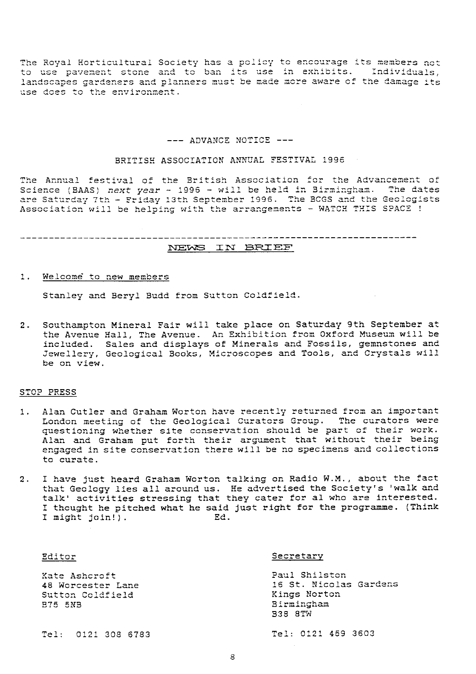The Royal Horticultural Society has a policy to encourage its members not<br>to use pavement stone and to ban its use in exhibits. Individuals, landscapes gardeners and planners must be made more aware of the damage its use does to the environment.

#### --- ADVANCE NOTICE ---

#### BRITISH ASSOCIATION ANNUAL FESTIVAL 1996

The Annual festival of the British Association for the Advancement of Science (BAAS) next year  $\sim$  1996 - will be held in Birmingham. The dates are Saturday 7th - Friday 13th September 1996. The BCGS and the Geologists Association will be helping with the arrangements - WATCH THIS SPACE !

NEWS IN BRIEF

#### $1.1$ Welcome to new members

Stanley and Beryl Budd from Sutton Coldfield.

Southampton Mineral Fair will take place on Saturday 9th September at  $2.$ the Avenue Hall, The Avenue. An Exhibition from Oxford Museum will be included. Sales and displays of Minerals and Fossils, gemnstones and Jewellery, Geological Books, Microscopes and Tools, and Crystals will be on view.

#### STOP PRESS

- 1. Alan Cutler and Graham Worton have recently returned from an important London meeting of the Geological Curators Group. The curators were questioning whether site conservation should be part of their work. Alan and Graham put forth their argument that without their being engaged in site conservation there will be no specimens and collections to curate.
- I have just heard Graham Worton talking on Radio W.M., about the fact  $2.$ that Geology lies all around us. He advertised the Society's 'walk and talk' activities stressing that they cater for al who are interested. I thought he pitched what he said just right for the programme. (Think I might join!). Ed.

| Editor                                                                   | Secretary                                                                               |
|--------------------------------------------------------------------------|-----------------------------------------------------------------------------------------|
| Kate Ashcroft<br>48 Worcester Lane<br>Sutton Coldfield<br><b>B75 5NB</b> | Paul Shilston<br>16 St. Nicolas Gardens<br>Kings Norton<br>Birmingham<br><b>B38 8TW</b> |
| Tel: 0121 308 6783                                                       | Tel: 0121 459 3603                                                                      |

 $\epsilon$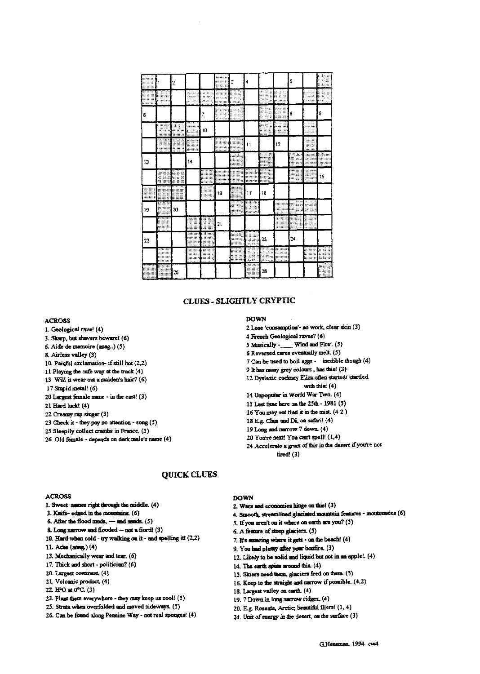|    | 2  |    |    |                 | З | 4            |            |    | 5  |    |
|----|----|----|----|-----------------|---|--------------|------------|----|----|----|
|    |    |    |    |                 |   |              |            |    |    |    |
| 6  |    |    | 7  |                 |   |              |            |    | 8  | ļ9 |
|    |    |    | 10 |                 |   |              |            |    |    |    |
|    |    |    |    |                 |   | $\mathbf{1}$ |            | 12 |    |    |
| 13 |    | 14 |    |                 |   |              |            |    |    |    |
|    |    |    |    |                 |   |              |            |    |    | 15 |
|    |    |    |    | 18              |   | 17           | 18         |    |    |    |
| 19 | 20 |    |    |                 |   |              |            |    |    |    |
|    |    |    |    | $\overline{21}$ |   |              |            |    |    |    |
| 22 |    |    |    |                 |   |              | 23         |    | 24 |    |
|    |    |    |    |                 |   |              |            |    |    |    |
|    | 25 |    |    |                 |   |              | ${\bf 26}$ |    |    |    |

# **CLUES - SLIGHTLY CRYPTIC**

### **ACROSS**

- 1. Geological rave! (4)
- 3. Sharp, but shavers beware! (6)
- 6. Aide de memoire (snag.) (5)
- 8. Airless valley (3)
- 10. Painful exclamation- if still hot (2,2) 11 Playing the safe way at the track  $(4)$
- 13 Will it wear out a maiden's hair? (6)
- 17 Stupid metal! (6)
- 20 Largest female name in the east! (3)
- 21 Hard duck! (4)
- 22 Creamy rap singer (3)
- Z3 Check it they pay no attention song (S)
- 25 Sleepily collect crumbs in France. (5)
- 26 Old female depends an dark male's name (4)

#### **DOWN**

- 2 Lose 'consumption'- no work, clear skin (3)
- 4 French Geological raves? (6)
- 5 Musically -\_ Wind and Fire'. (5)
- 6 Reversed cares eventuslly melt. (5)
- 7 Can be used to boil eggs inedible though (4)
- 9 It has many grey colours, has this! (3) 12 Dyslexic cockney Eliza often started/ startled
- with this! (4)
- 14 Unpopular in World War Two. (4)
- 15 Last time here on the 25th- 1981(5)
- 16 You may not find it m the mist (4 2)
- 18 E.g. Chas and Di, on safari! (4)
- 19 Long and narrow 7 down. (4)
- 20 You're next! You cao't spell! (1,4)
- 24 Accelerate a grata of this in the desert if you're not tired! (3)

### ACROSS

- 1. Sweet names right through the middle. (4)
- $3.$  Knife- edged in the mountains.  $(6)$
- 6. After the flood muds, --- and sands. (5)
- 8. Long narrow and flooded  $-$  not a flord! (3)
- 10. Hard when  $\text{cold}$  try walking on it and spelling it!  $(2,2)$
- 11. Ache (aoa&) (4)
- 13. **Mecharocally wear** and tear. (6)
- 17. Thick and short politician? (6)
- 20. Largest continent. (4)
- 21. Volcanic product (4)
- 22. HPO at 0°C. (3)
- 23. Plaut them everywhere they may keep us cool! (5)
- 25. Strata when overfolded and moved sideways. (5)
- 26. Can be fond **along Pemine Way** not real sponges! (4)

#### **DOWN**

**QUICK CLUES**

- 2. Wars and economies hinge on this! (3)
- **4. Smooth, sus mined glaciated IDOt1** Sin feabnea moat (6)
- 5. lfyou aren't on it where on earth are you? (5)
- 6. A feature of steep glaciers. (5)
- 7. ICs amusing where it **getr** on the beach! (4)
- 9. You had plenty after your bonfire. (3)
- 12.. Likely to be solid and liquid but not in no apple!. (4)
- 14. The earth spins around this. (4)
- 15. Skiers need them. glaciers feed on them. (5)
- 16. Keep to the straight and narrow if possible.  $(4,2)$
- 18. La<sup>r</sup>gest valley on earth. (4)
- 19.7 Down in long narrow ridges. (4)
- 20. E.g. Roseate, Arctic; beautiful fliers! (1, 4)
- 24. Unit of energy in the desert, on the surface (3)